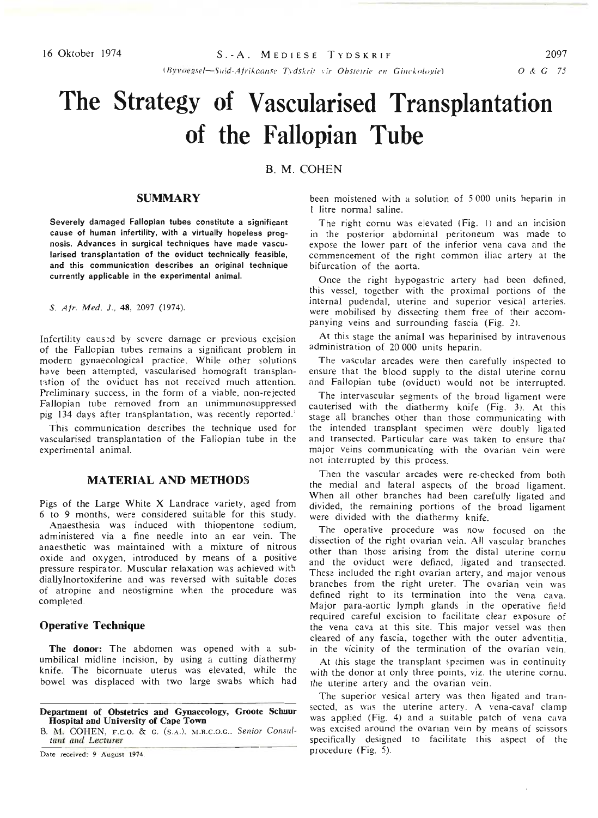*lBvl·oegsel-Sllid-A/rikr.ollse T"dskrif* l'ir *ObsleTrie ell Gillekologie)*

# **The Strategy of Vascularised Transplantation of the Fallopian Tube**

B. M. COHEN

## **SUMMARY**

Severely damaged Fallopian tubes constitute a significant cause of human infertility, with a virtually hopeless prognosis. Advances in surgical techniques have made vascularised transplantation of the oviduct technically feasible, and this communication describes an original technique currently applicable in the experimental animal.

S. Afr. Med. J., 48, 2097 (1974).

Infertility caus:d by severe damage or previous excision of the Fallopian tubes remains a significant problem in modern gynaecological practice. While other solutions have been attempted, vascularised homograft transp!antation of the oviduct has not received much attention. Preliminary success, in the form of a viable, non-rejected Fallopian tube removed from an unimmunosuppressed pig 134 days after transplantation, was recently reported.'

This communication describes the technique used for vascularised transplantation of the Fallopian tube in the experimental animal.

# MATERIAL AND METHODS

Pigs of the Large White X Landrace variety, aged from 6 to 9 months, were considered suitable for this study. Anaesthesia was induced with thiopentone sodium,

administered via a fine needle into an ear vein. The anaesthetic was maintained with a mixture of nitrous oxide and oxygen, introduced by means of a positive pressure respirator. Muscular relaxation was achieved with diallylnortoxiferine and was reversed with suitable doses of atropine and neostigmine when the procedure was completed.

## Operative Technique

The donor: The abdomen was opened with a subumbilical midline incision, by using a cutting diathermy knife. The bicornuate uterus was elevated, while the bowel was displaced with two large swabs which had

Department of Obstetrics and Gynaecology, Groote Schuur Hospital and University of Cape Town

B. M. COHEN, F.C.O. & G. (S.A.). M.R.C.O.G., *Senior Consul*tant and *Lecturer*

Date received: 9 August 1974.

been moistened with a solution of 5000 units heparin in I litre normal saline.

The right cornu was elevated (Fig. I) and an incision in the posterior abdominal peritoneum was made to expose the lower part of the inferior vena cava and the commencement of the right common iliac artery at the bifurcation of the aorta.

Once the right hypogastric artery had been defined, this vessel, together with the proximal portions of the internal pudendal, uterine and superior vesical arteries. were mobilised by dissecting them free of their accompanying veins and surrounding fascia (Fig. 2).

At this stage the animal was heparinised by intravenous administration of 20 000 units heparin.

The vascular arcades were then carefully inspected to ensure that the blood supply to the distal uterine cornu and Fallopian tube (oviduct) would not be interrupted.

The intervascular segments of the broad ligament were cauterised with the diathermy knife (Fig. 3). At this stage all branches other than those communicating with the intended transplant specimen were doubly ligated and transected. Particular care was taken to ensure that major veins communicating with the ovarian vein were not interrupted by this process.

Then the vascular arcades were re·checked from both the medial and lateral aspects of the broad ligament. When all other branches had been carefully ligated and divided, the remaining portions of the broad ligament were divided with the diathermy knife.

The operative procedure was now focused on the dissection of the right ovarian vein. All vascular branches other than those arising from the distal uterine cornu and the oviduct were defined, ligated and transected. These included the right ovarian artery, and major venous branches from the right ureter. The ovarian vein was defined right to its termination into the vena cava. Major para-aortic lymph glands in the operative field required careful excision to facilitate clear exposure of the vena cava at this site. This major vessel was then cleared of any fascia, together with the outer adventitia, in the vicinity of the termination of the ovarian vein.

At this stage the transplant specimen was in continuity with the donor at only three points, viz. the uterine cornu. the uterine artery and the ovarian vein.

The superior vesical artery was then ligated and transected, as was the uterine artery. A vena-caval clamp was applied (Fig. 4) and a suitable patch of vena cava was excised around the ovarian vein by means of scissors specifically designed to facilitate this aspect of the procedure (Fig. 5).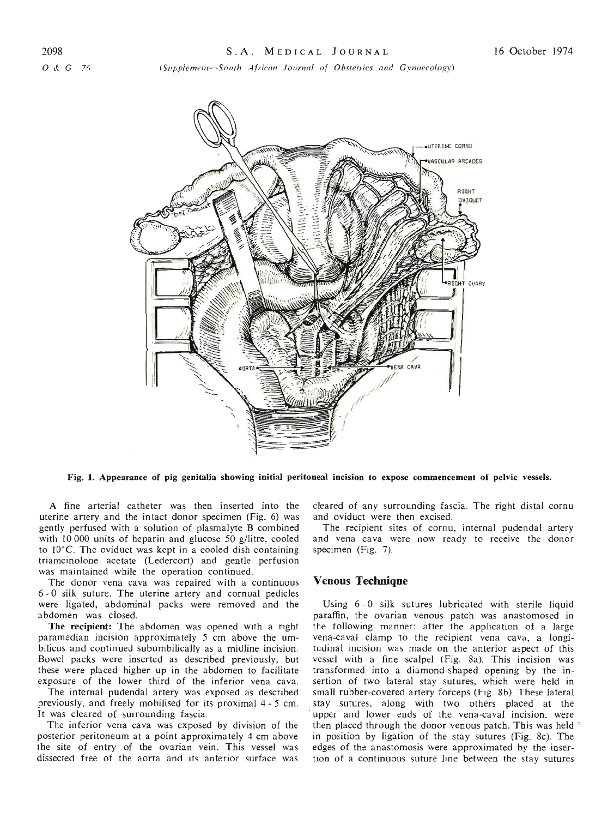*(5I!ppiement-50HTh African JOl/rnal of Obsterrics and Gvnaecology)*



Fig. 1. Appearance of pig genitalia showing initial peritoneal incision to expose commencement of pelvic vessels.

A fine arterial catheter was then inserted into the uterine artery and the intact donor specimen (Fig. 6) was gently perfused with a solution of plasmalyte B combined with 10 000 units of heparin and glucose 50 g/litre, cooled to 10°C. The oviduct was kept in a cooled dish containing triamcinolone acetate (Ledercort) and gentle perfusion was maintained while the operation continued.

The donor vena cava was repaired with a continuous 6 - 0 silk suture. The uterine artery and cornual pedicles were ligated, abdominal packs were removed and the abdomen was closed.

The recipient: The abdomen was opened with a right paramedian incision approximately 5 cm above the umbilicus and continued subumbilicalIy as a midline incision. Bowel packs were inserted as described previously, but these were placed higher up in the abdomen to facilitate exposure of the lower third of the inferior vena cava.

The internal pudendal artery was exposed as described previously, and freely mobilised for its proximal 4 - 5 cm. It was cleared of surrounding fascia.

The inferior vena cava was exposed by division of the posterior peritoneum at a point approximately 4 cm above the site of entry of the ovarian vein. This vessel was dissected free of the aorta and its anterior surface was cleared of any surrounding fascia. The right distal cornu and oviduct were then excised.

The recipient sites of cornu, internal pudendal artery and vena cava were now ready to receive the donor specimen (Fig. 7).

#### Venous **Technique**

Using 6 - 0 silk sutures lubricated with sterile liquid paraffin, the ovarian venous patch was anastomosed in the following manner: after the application of a large vena-caval clamp to the recipient vena cava, a longitudinal incision was made on the anterior aspect of this vessel with a fine scalpel (Fig. 8a). This incision was transformed into a diamond-shaped opening by the insertion of two lateral stay sutures, which were held in small rubber-covered artery forceps (Fig. 8b). These lateral stay sutures, along with two others placed at the upper and lower ends of the vena-caval incision, were then placed through the donor venous patch. This was held • in position by ligation of the stay sutures (Fig. 8c). The edges of the anastomosis were approximated by the insertion of a continuous suture line between the stay sutures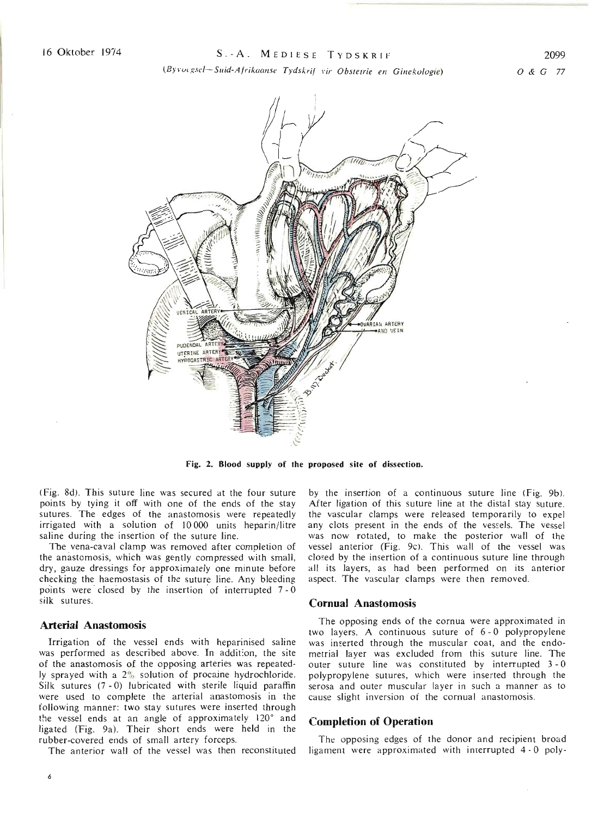*(BYVOf"gsef.-Sllid-Ajrikoollse Tydskrij vir Obstetrie* ell *Ginekologie)*

0& <sup>G</sup> <sup>77</sup>



Fig. 2. **Blood** supply of the proposed site of dissection.

(Fig. 8d). This suture line was secured at the four suture points by tying it off with one of the ends of the stay sutures. The edges of the anastomosis were repeatedly irrigated with a solution of 10 000 units heparin/litre saline during the insertion of the suture line.

The vena-caval clamp was removed after completion of the anastomosis, which was gently compressed with small, dry, gauze dressings for approximately one minute before checking the haemostasis of the suture line. Any bleeding points were closed by the insertion of interrupted  $7 - 0$ silk sutures.

#### **Arterial Anastomosis**

Irrigation of the vessel ends with heparinised saline was performed as described above. In addition, the site of the anastomosis of the opposing arteries was repeatedly sprayed with a 2<sup>0</sup> solution of procaine hydrochloride. Silk sutures (7 - 0) lubricated with sterile liquid paraffin were used to complete the arterial anastomosis in the following manner: two stay sutures were inserted through the vessel ends at an angle of approximately 120° and ligated (Fig. 9a). Their short ends were held in the rubber-covered ends of small artery forceps.

The anterior wall of the vessel was then reconstituted

by the insertion of a continuous suture line (Fig. 9b). After ligation of this suture line at the distal stay suture. the vascular clamps were released temporarily to expel any clots present in the ends of the vessels. The vessel was now rotated, to make the posterior wall of the vessel anterior (Fig. 9c). This wall of the vessel was closed by the insertion of a continuous suture line through all its layers, as had been performed on its anterior aspect. The vascular clamps were then removed.

#### **Comual Anastomosis**

The opposing ends of the cornua were approximated in two layers. A continuous suture of 6 - 0 polypropylene was inserted through the muscular coat, and the endometrial layer was excluded from this suture line. The outer suture line was constituted by interrupted 3 - 0 polypropylene sutures, which were inserted through the serosa and outer muscular layer in such a manner as to cause slight inversion of the cornual anastomosis.

## **Completion of Operation**

The opposing edges of the donor and recipient broad ligament were approximated with interrupted 4 - 0 poly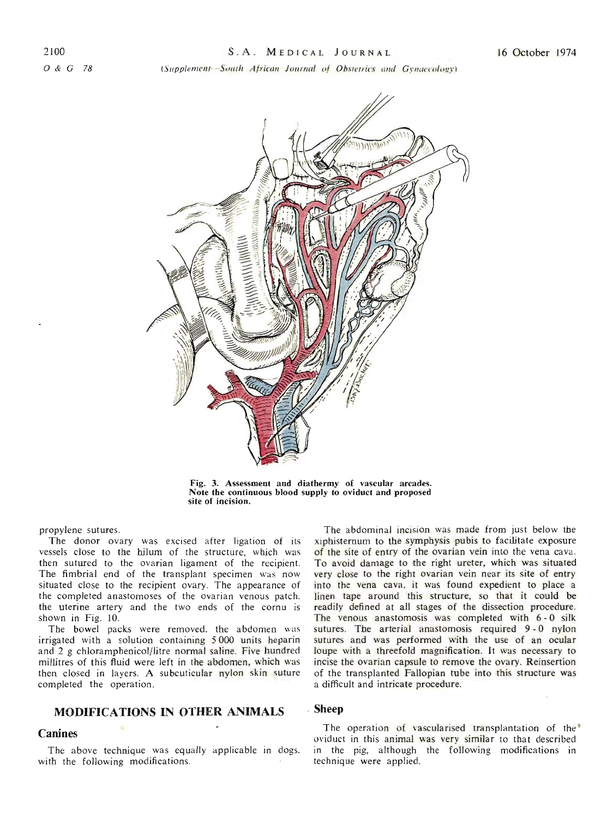(Supplement-South African Journal of Obstetrics and Gynaecology)



Fig. 3. Assessment and diathermy of vascular arcades. Note the continuous blood supply to oviduct and proposed site of incision.

propylene sutures.

The donor ovary was excised after ligation of its vessels close to the hilum of the structure, which was then sutured to the ovarian ligament of the recipient. The fimbrial end of the transplant specimen was now situated close to the recipient ovary. The appearance of the completed anastomoses of the ovarian venous patch. the uterine artery and the two ends of the cornu is shown in Fig. 10.

The bowel packs were removed, the abdomen was irrigated with a solution containing 5000 units heparin and 2 g chloramphenicol/litre normal saline. Five hundred millitres of this fluid were left in the abdomen, which was then closed in layers. A subcuticular nylon skin suture completed the operation.

# **MODIFICATIONS IN OTHER ANIMALS**

## **Canines**

The above technique was equally applicable in dogs. with the following modifications.

The abdominal incision was made from just below the xiphisternum to the symphysis pubis to facilitate exposure of the site of entry of the ovarian vein into the vena cava. To avoid damage to the right ureter, which was situated very close to the right ovarian vein near its site of entry into the vena cava, it was found expedient to place a linen tape around this structure, so that it could be readily defined at all stages of the dissection procedure. The venous anastomosis was completed with 6-0 silk sutures. The arterial anastomosis required 9-0 nylon sutures and was performed with the use of an ocular loupe with a threefold magnification. It was necessary to incise the ovarian capsule to remove the ovary. Reinsertion of the transplanted Fallopian tube into this structure was a difficult and intricate procedure.

#### **Sheep**

The operation of vascularised transplantation of the' oviduct in this animal was very similar to that described in the pig, although the following modifications in technique were applied.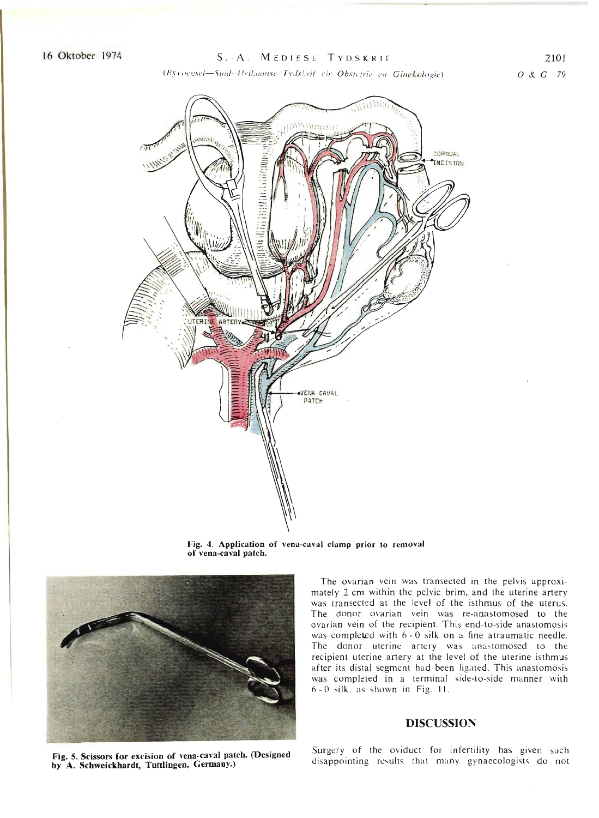# <sup>16</sup> Oktober <sup>1974</sup> S.-A. MEDIESE TYDSKRIf-

2101

*(H,,\'vegst!l-SlIid-,·/* fri/~{J(1/1Se *TvdsArif I'ir Obstetrie ell* G*illek%gie)*





Fig. 4. Application of vena-caval clamp prior to removal of vena-caval patch.



The ovarian vein was transected in the pelvis approximately 2 cm within the pelvic brim, and the uterine artery was transected at the level of the isthmus of the uterus. The donor ovarian vein was re-anastomosed to the ovarian vein of the recipient. This end-to-side anastomosis was completed with 6 - 0 silk on a fine atraumatic needle. The donor uterine artery was anastomosed to the recipient uterine artery at the level of the uterine isthmus after its distal segment had been ligated. This anastomosis was completed in a terminal side-to-side manner with 6 - 0 silk. as shown in Fig. 11.

# **DISCUSSIO**

Fig. 5. Scissors for excision of vena-caval patch. (Designed by A. Schweickhardt, Tuttlingen, Germany.)

Surgery of the oviduct for infertility has given such disappointing results that many gynaecologists do not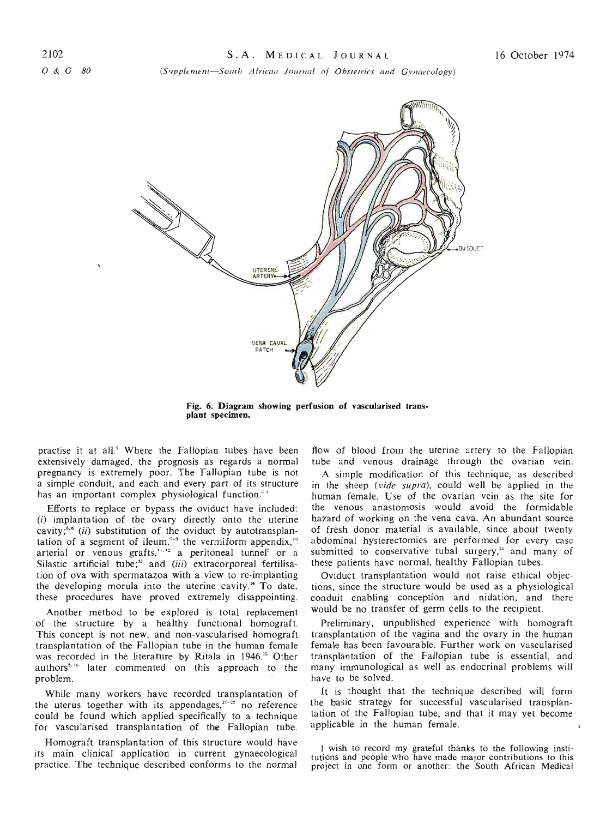*(S'Jpplimenl-Solllh African Journal of ObSlefrics and Gvnaecology)*



**Fig. 6. Diagram showing perfusion of vascularised transplant specimen.**

practise it at all.' Where the Fallopian tubes have been extensively damaged, the prognosis as regards a normal pregnancy is extremely poor. The Fallopian tube is not a simple conduit, and each and every part of its structure has an important complex physiological function.<sup>3,4</sup>

Efforts to replace or bypass the oviduct have included: (i) implantation of the ovary directly onto the uterine cavity;<sup>5,5</sup> (ii) substitution of the oviduct by autotransplantation of a segment of ileum,<sup>19</sup> the vermiform appendix,<sup>19</sup> arterial or venous grafts,<sup>11,12</sup> a peritoneal tunnel<sup>2</sup> or a Silastic artificial tube;<sup>13</sup> and (iii) extracorporeal fertilisation of ova with spermatazoa with a view to re-implanting the developing morula into the uterine cavity." To date. these procedures have proved extremely disappointing.

Another method to be explored is total replacement of the structure by a healthy functional homograft. This concept is not new, and non-vascularised homograft transplantation of the Fallopian tube in the human female was recorded in the literature by Ritala in 1946." Other authors<sup>2,16</sup> later commented on this approach to the problem.

While many workers have recorded transplantation of the uterus together with its appendages, $17 - 22$  no reference could be found which applied specifically to a technique for vascularised transplantation of the Fallopian tube.

Homograft transplantation of this structure would have its main clinical application in current gynaecological practice. The technique described conforms to the normal

flow of blood from the uterine artery to the Fallopian tube and venous drainage through the ovarian vein.

A simple modification of this technique, as described in the sheep *(vide supra),* could well be applied in the human female. Use of the ovarian vein as the site for the venous anastomosis would avoid the formidable hazard of working on the vena cava. An abundant source of fresh donor material is available, since about twenty abdominal hysterectomies are performed for every case submitted to conservative tubal surgery,<sup>22</sup> and many of these patients have normal, healthy Fallopian tubes.

Oviduct transplantation would not raise ethical objections, since the structure would be used as a physiological conduit enabling conception and nidation, and there would be no transfer of germ cells to the recipient.

Preliminary, unpublished experience with homograft transplantation of the vagina and the ovary in the human female has been favourable. Further work on vascularised transplantation of the Fallopian tube is essential, and many immunological as well as endocrinal problems will have to be solved.

**It** is thought that the technique described will form the basic strategy for successful vascularised transplan- .tation of the Fallopian tube, and that it may yet become applicable in the human female.

I wish to record my grateful thanks to the following institutions and people who have made major contributions to this project in one form or another: the South African Medical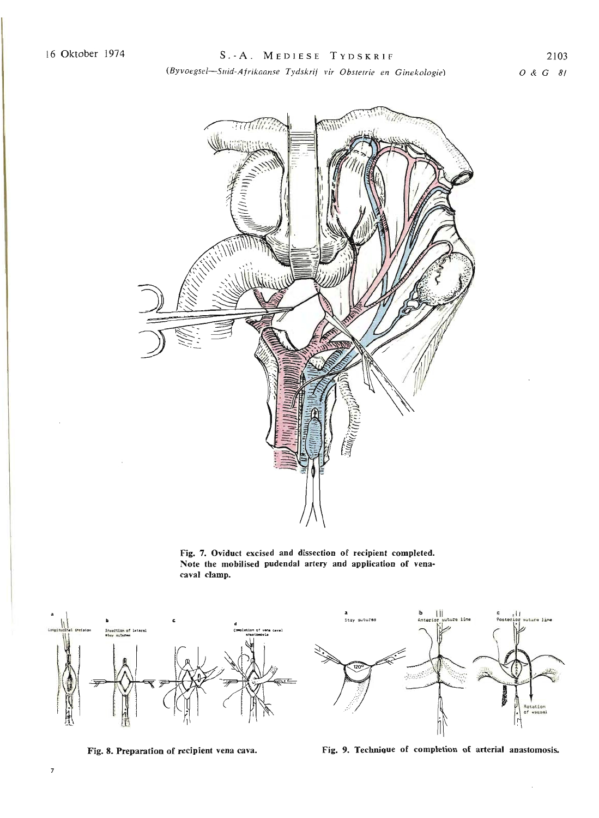*(Byvoegsel-SlIid-Ajrikaanse Tydskrij vir Obsterrie en Ginekologie)*



Fig. 7. Oviduct excised and dissection of recipient completed. Note the mobilised pudendal artery and application of venacaval clamp.





Fig. 8. Preparation of recipient vena cava. Fig. 9. Technique of completion of arterial anastomosis.